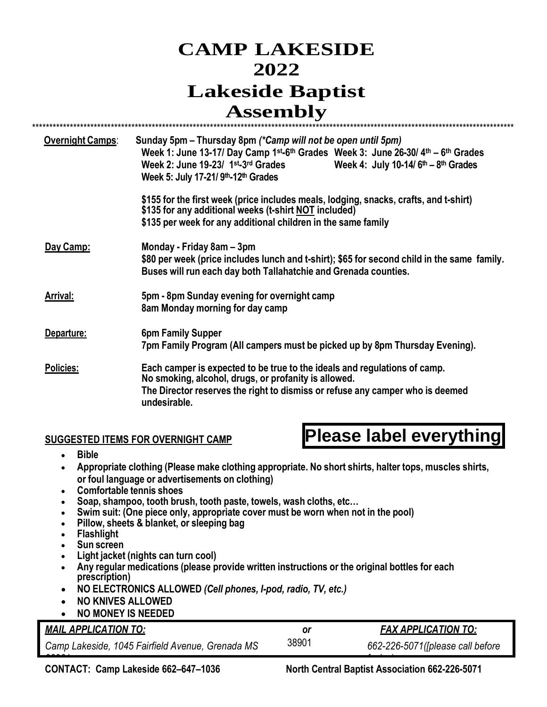## **CAMP LAKESIDE 2022 Lakeside Baptist Assembly**

| <b>Overnight Camps:</b> | Sunday 5pm - Thursday 8pm (*Camp will not be open until 5pm)                                  |  |
|-------------------------|-----------------------------------------------------------------------------------------------|--|
|                         | Week 1: June 13-17/ Day Camp 1st-6th Grades Week 3: June 26-30/ 4th - 6th Grades              |  |
|                         | Week 2: June 19-23/ 1st-3rd Grades<br>Week 4: July 10-14/ $6th - 8th$ Grades                  |  |
|                         | Week 5: July 17-21/ 9th-12th Grades                                                           |  |
|                         | \$155 for the first week (price includes meals, lodging, snacks, crafts, and t-shirt)         |  |
|                         | \$135 for any additional weeks (t-shirt NOT included)                                         |  |
|                         | \$135 per week for any additional children in the same family                                 |  |
| Day Camp:               | Monday - Friday 8am – 3pm                                                                     |  |
|                         | \$80 per week (price includes lunch and t-shirt); \$65 for second child in the same family.   |  |
|                         | Buses will run each day both Tallahatchie and Grenada counties.                               |  |
| <b>Arrival:</b>         | 5pm - 8pm Sunday evening for overnight camp                                                   |  |
|                         | 8am Monday morning for day camp                                                               |  |
| Departure:              | <b>6pm Family Supper</b>                                                                      |  |
|                         | 7pm Family Program (All campers must be picked up by 8pm Thursday Evening).                   |  |
| <b>Policies:</b>        | Each camper is expected to be true to the ideals and regulations of camp.                     |  |
|                         | No smoking, alcohol, drugs, or profanity is allowed.                                          |  |
|                         | The Director reserves the right to dismiss or refuse any camper who is deemed<br>undesirable. |  |

#### **SUGGESTED ITEMS FOR OVERNIGHT CAMP**

# **Please label everything**

- **Bible**
- **Appropriate clothing (Please make clothing appropriate. No short shirts, halter tops, muscles shirts, or foul language or advertisements on clothing)**
- **Comfortable tennis shoes**
- **Soap, shampoo, tooth brush, tooth paste, towels, wash cloths, etc…**
- **Swim suit: (One piece only, appropriate cover must be worn when not in the pool)**
- **Pillow, sheets & blanket, or sleeping bag**
- **Flashlight**
- **Sun screen**
- **Light jacket (nights can turn cool)**
- **Any regular medications (please provide written instructions or the original bottles for each prescription)**
- **NO ELECTRONICS ALLOWED** *(Cell phones, I-pod, radio, TV, etc.)*
- **NO KNIVES ALLOWED**
- **NO MONEY IS NEEDED**

#### *MAIL APPLICATION TO: or FAX APPLICATION TO:*

*Camp Lakeside, 1045 Fairfield Avenue, Grenada MS* 

38901 *662-226-5071([please call before*

*faxing*) **CONTACT: Camp Lakeside 662–647–1036 North Central Baptist Association 662-226-5071**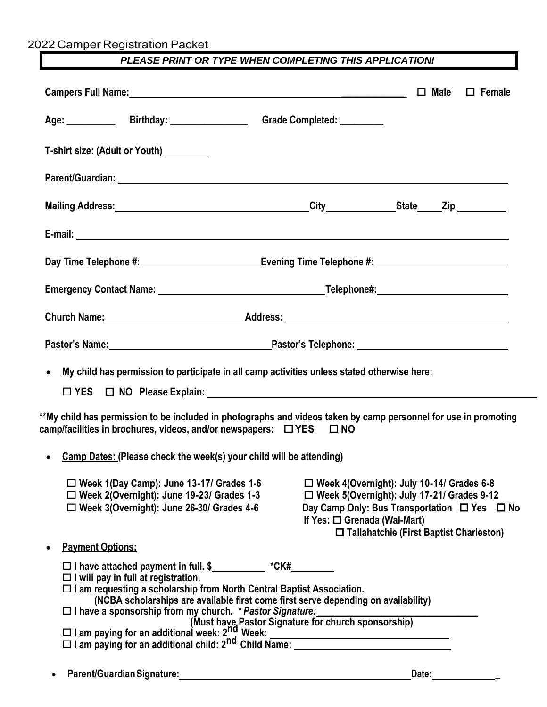2022 Camper Registration Packet

#### *PLEASE PRINT OR TYPE WHEN COMPLETING THIS APPLICATION!*

|                         | Age: _____________ Birthday: ___________________ Grade Completed: _________                                                                                                                                                              |                                   |                                                                                                                                                                                                                      |
|-------------------------|------------------------------------------------------------------------------------------------------------------------------------------------------------------------------------------------------------------------------------------|-----------------------------------|----------------------------------------------------------------------------------------------------------------------------------------------------------------------------------------------------------------------|
|                         | T-shirt size: (Adult or Youth) ________                                                                                                                                                                                                  |                                   |                                                                                                                                                                                                                      |
|                         |                                                                                                                                                                                                                                          |                                   |                                                                                                                                                                                                                      |
|                         |                                                                                                                                                                                                                                          |                                   |                                                                                                                                                                                                                      |
|                         |                                                                                                                                                                                                                                          |                                   |                                                                                                                                                                                                                      |
|                         | Day Time Telephone #: Letter Management Communication Communication Communication Communication Communication                                                                                                                            |                                   |                                                                                                                                                                                                                      |
|                         |                                                                                                                                                                                                                                          |                                   |                                                                                                                                                                                                                      |
|                         | Church Name: <u>Name: Address:</u> Address: <u>Address:</u> Address: Address: Address: Address: Address: Address: Address: Address: Address: Address: Address: Address: Address: Address: Address: Address: Address: Address: Address: A |                                   |                                                                                                                                                                                                                      |
|                         | Pastor's Name: Name: Name: Name and American Contract Contract Contract Contract Contract Contract Contract Contract Contract Contract Contract Contract Contract Contract Contract Contract Contract Contract Contract Contra           |                                   |                                                                                                                                                                                                                      |
| $\bullet$               | My child has permission to participate in all camp activities unless stated otherwise here:<br>$\Box$ YES $\Box$ NO Please Explain:                                                                                                      |                                   |                                                                                                                                                                                                                      |
|                         | **My child has permission to be included in photographs and videos taken by camp personnel for use in promoting<br>camp/facilities in brochures, videos, and/or newspapers: $\Box$ YES $\Box$ NO                                         |                                   |                                                                                                                                                                                                                      |
|                         | Camp Dates: (Please check the week(s) your child will be attending)                                                                                                                                                                      |                                   |                                                                                                                                                                                                                      |
|                         | $\Box$ Week 1(Day Camp): June 13-17/ Grades 1-6<br>$\Box$ Week 2(Overnight): June 19-23/ Grades 1-3<br>□ Week 3(Overnight): June 26-30/ Grades 4-6                                                                                       | If Yes: $\Box$ Grenada (Wal-Mart) | $\Box$ Week 4(Overnight): July 10-14/ Grades 6-8<br>$\square$ Week 5(Overnight): July 17-21/ Grades 9-12<br>Day Camp Only: Bus Transportation $\Box$ Yes $\Box$ No<br>$\Box$ Tallahatchie (First Baptist Charleston) |
| <b>Payment Options:</b> |                                                                                                                                                                                                                                          |                                   |                                                                                                                                                                                                                      |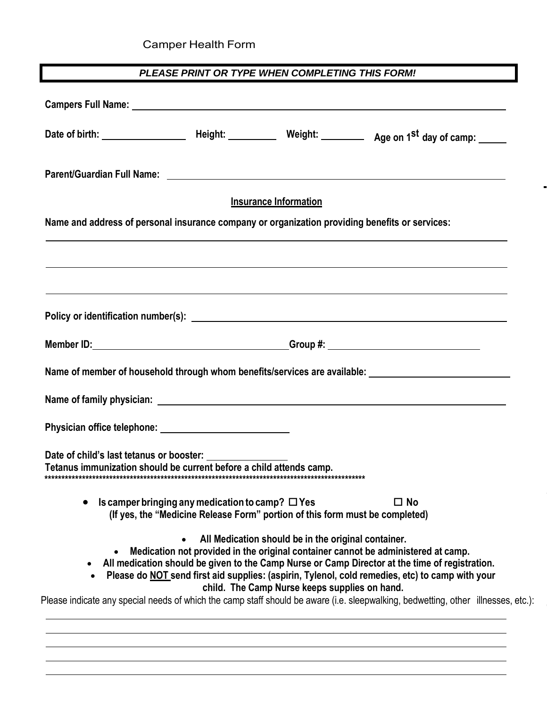## Camper Health Form

#### PLEASE PRINT OR TYPE WHEN COMPLETING THIS FORM!

|                                                                                                                 |                                                                                                                                       | <b>Insurance Information</b>                                                                         |                                                                                                                                                                                                                                                                                        |
|-----------------------------------------------------------------------------------------------------------------|---------------------------------------------------------------------------------------------------------------------------------------|------------------------------------------------------------------------------------------------------|----------------------------------------------------------------------------------------------------------------------------------------------------------------------------------------------------------------------------------------------------------------------------------------|
| Name and address of personal insurance company or organization providing benefits or services:                  |                                                                                                                                       |                                                                                                      |                                                                                                                                                                                                                                                                                        |
|                                                                                                                 |                                                                                                                                       |                                                                                                      |                                                                                                                                                                                                                                                                                        |
|                                                                                                                 |                                                                                                                                       |                                                                                                      |                                                                                                                                                                                                                                                                                        |
|                                                                                                                 |                                                                                                                                       |                                                                                                      |                                                                                                                                                                                                                                                                                        |
|                                                                                                                 |                                                                                                                                       |                                                                                                      |                                                                                                                                                                                                                                                                                        |
|                                                                                                                 |                                                                                                                                       |                                                                                                      | Name of member of household through whom benefits/services are available: __________________________                                                                                                                                                                                   |
|                                                                                                                 |                                                                                                                                       |                                                                                                      |                                                                                                                                                                                                                                                                                        |
|                                                                                                                 |                                                                                                                                       |                                                                                                      |                                                                                                                                                                                                                                                                                        |
| Date of child's last tetanus or booster:<br>Tetanus immunization should be current before a child attends camp. |                                                                                                                                       |                                                                                                      |                                                                                                                                                                                                                                                                                        |
|                                                                                                                 | Is camper bringing any medication to camp? $\Box$ Yes<br>(If yes, the "Medicine Release Form" portion of this form must be completed) |                                                                                                      | $\square$ No                                                                                                                                                                                                                                                                           |
| $\bullet$                                                                                                       |                                                                                                                                       | All Medication should be in the original container.<br>child. The Camp Nurse keeps supplies on hand. | Medication not provided in the original container cannot be administered at camp.<br>All medication should be given to the Camp Nurse or Camp Director at the time of registration.<br>Please do NOT send first aid supplies: (aspirin, Tylenol, cold remedies, etc) to camp with your |
|                                                                                                                 |                                                                                                                                       |                                                                                                      | Please indicate any special needs of which the camp staff should be aware (i.e. sleepwalking, bedwetting, other illnesses, etc.):                                                                                                                                                      |
|                                                                                                                 |                                                                                                                                       |                                                                                                      |                                                                                                                                                                                                                                                                                        |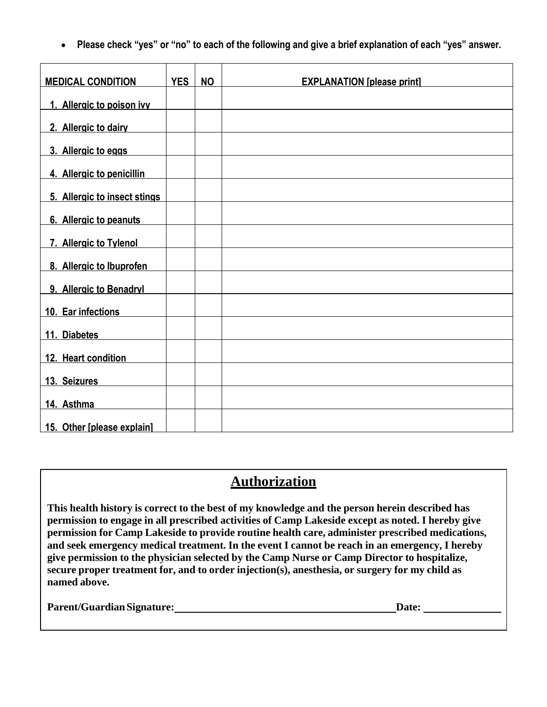• **Please check "yes" or "no" to each of the following and give a brief explanation of each "yes" answer.**

| <b>MEDICAL CONDITION</b>     | <b>YES</b> | <b>NO</b> | <b>EXPLANATION [please print]</b> |
|------------------------------|------------|-----------|-----------------------------------|
| 1. Allergic to poison ivy    |            |           |                                   |
| 2. Allergic to dairy         |            |           |                                   |
| 3. Allergic to eggs          |            |           |                                   |
| 4. Allergic to penicillin    |            |           |                                   |
| 5. Allergic to insect stings |            |           |                                   |
| 6. Allergic to peanuts       |            |           |                                   |
| 7. Allergic to Tylenol       |            |           |                                   |
| 8. Allergic to Ibuprofen     |            |           |                                   |
| 9. Allergic to Benadryl      |            |           |                                   |
| 10. Ear infections           |            |           |                                   |
|                              |            |           |                                   |
| 11. Diabetes                 |            |           |                                   |
| 12. Heart condition          |            |           |                                   |
| 13. Seizures                 |            |           |                                   |
| 14. Asthma                   |            |           |                                   |
| 15. Other [please explain]   |            |           |                                   |

### **Authorization**

**This health history is correct to the best of my knowledge and the person herein described has permission to engage in all prescribed activities of Camp Lakeside except as noted. I hereby give permission for Camp Lakeside to provide routine health care, administer prescribed medications, and seek emergency medical treatment. In the event I cannot be reach in an emergency, I hereby give permission to the physician selected by the Camp Nurse or Camp Director to hospitalize, secure proper treatment for, and to order injection(s), anesthesia, or surgery for my child as named above.**

Parent/Guardian Signature: **Date: Date: Date: Date: Date: Date: Date: Date: Date: Date: Date: Date: Date: Date: Date: Date: Date: Date: Date: Date: Date: Date: Date: Date: Da**